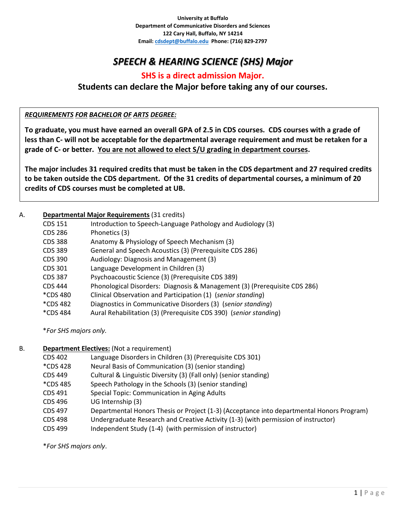# *SPEECH & HEARING SCIENCE (SHS) Major*

## **SHS is a direct admission Major.**

# **Students can declare the Major before taking any of our courses.**

*REQUIREMENTS FOR BACHELOR OF ARTS DEGREE:*

**To graduate, you must have earned an overall GPA of 2.5 in CDS courses. CDS courses with a grade of less than C- will not be acceptable for the departmental average requirement and must be retaken for a grade of C- or better. You are not allowed to elect S/U grading in department courses.** 

**The major includes 31 required credits that must be taken in the CDS department and 27 required credits to be taken outside the CDS department. Of the 31 credits of departmental courses, a minimum of 20 credits of CDS courses must be completed at UB.** 

### A. **Departmental Major Requirements** (31 credits)

- CDS 151 Introduction to Speech-Language Pathology and Audiology (3)
- CDS 286 Phonetics (3)
- CDS 388 Anatomy & Physiology of Speech Mechanism (3)
- CDS 389 General and Speech Acoustics (3) (Prerequisite CDS 286)
- CDS 390 Audiology: Diagnosis and Management (3)
- CDS 301 Language Development in Children (3)
- CDS 387 Psychoacoustic Science (3) (Prerequisite CDS 389)
- CDS 444 Phonological Disorders: Diagnosis & Management (3) (Prerequisite CDS 286)
- \*CDS 480 Clinical Observation and Participation (1) (*senior standing*)
- \*CDS 482 Diagnostics in Communicative Disorders (3) (*senior standing*)
- \*CDS 484 Aural Rehabilitation (3) (Prerequisite CDS 390) (*senior standing*)

\**For SHS majors only.*

### B. **Department Electives:** (Not a requirement)

- CDS 402 Language Disorders in Children (3) (Prerequisite CDS 301)
- \*CDS 428 Neural Basis of Communication (3) (senior standing)
- CDS 449 Cultural & Linguistic Diversity (3) (Fall only) (senior standing)
- \*CDS 485 Speech Pathology in the Schools (3) (senior standing)
- CDS 491 Special Topic: Communication in Aging Adults
- CDS 496 UG Internship (3)
- CDS 497 Departmental Honors Thesis or Project (1-3) (Acceptance into departmental Honors Program)
- CDS 498 Undergraduate Research and Creative Activity (1-3) (with permission of instructor)
- CDS 499 Independent Study (1-4) (with permission of instructor)

\**For SHS majors only*.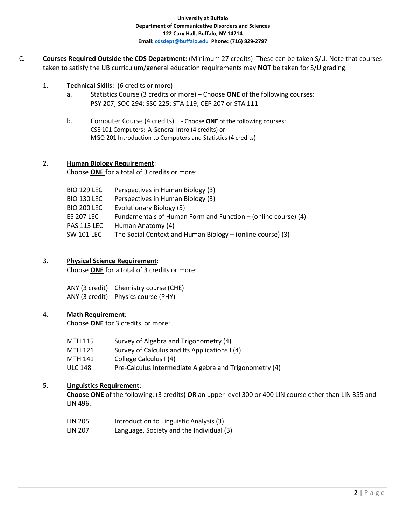C. **Courses Required Outside the CDS Department:** (Minimum 27 credits) These can be taken S/U. Note that courses taken to satisfy the UB curriculum/general education requirements may **NOT** be taken for S/U grading.

### 1. **Technical Skills:** (6 credits or more)

- a. Statistics Course (3 credits or more) Choose **ONE** of the following courses: PSY 207; SOC 294; SSC 225; STA 119; CEP 207 or STA 111
- b. Computer Course (4 credits) - Choose **ONE** of the following courses: CSE 101 Computers: A General Intro (4 credits) or MGQ 201 Introduction to Computers and Statistics (4 credits)

### 2. **Human Biology Requirement**:

Choose **ONE** for a total of 3 credits or more:

| BIO 129 LEC | Perspectives in Human Biology (3)                             |
|-------------|---------------------------------------------------------------|
| BIO 130 LEC | Perspectives in Human Biology (3)                             |
| BIO 200 LEC | Evolutionary Biology (5)                                      |
| ES 207 LEC  | Fundamentals of Human Form and Function – (online course) (4) |
| PAS 113 LEC | Human Anatomy (4)                                             |
| SW 101 LEC  | The Social Context and Human Biology – (online course) (3)    |

## 3. **Physical Science Requirement**:

Choose **ONE** for a total of 3 credits or more:

ANY (3 credit) Chemistry course (CHE) ANY (3 credit) Physics course (PHY)

### 4. **Math Requirement**:

Choose **ONE** for 3 credits or more:

- MTH 115 Survey of Algebra and Trigonometry (4)
- MTH 121 Survey of Calculus and Its Applications I (4)
- MTH 141 College Calculus I (4)
- ULC 148 Pre-Calculus Intermediate Algebra and Trigonometry (4)

### 5. **Linguistics Requirement**:

**Choose ONE** of the following: (3 credits) **OR** an upper level 300 or 400 LIN course other than LIN 355 and LIN 496.

- LIN 205 Introduction to Linguistic Analysis (3)
- LIN 207 Language, Society and the Individual (3)